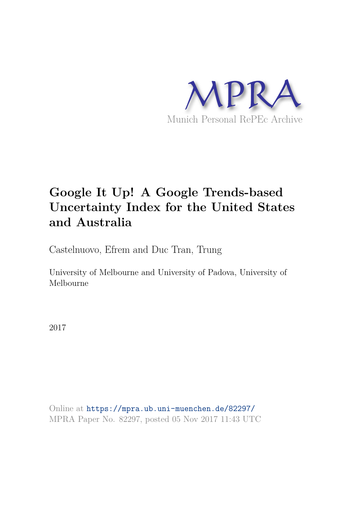

# **Google It Up! A Google Trends-based Uncertainty Index for the United States and Australia**

Castelnuovo, Efrem and Duc Tran, Trung

University of Melbourne and University of Padova, University of Melbourne

2017

Online at https://mpra.ub.uni-muenchen.de/82297/ MPRA Paper No. 82297, posted 05 Nov 2017 11:43 UTC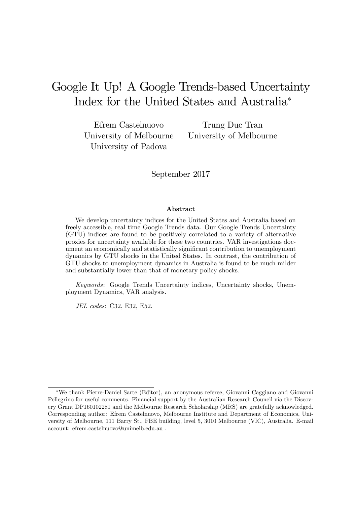# Google It Up! A Google Trends-based Uncertainty Index for the United States and Australia

Efrem Castelnuovo Trung Duc Tran University of Padova

University of Melbourne University of Melbourne

September 2017

#### Abstract

We develop uncertainty indices for the United States and Australia based on freely accessible, real time Google Trends data. Our Google Trends Uncertainty (GTU) indices are found to be positively correlated to a variety of alternative proxies for uncertainty available for these two countries. VAR investigations document an economically and statistically significant contribution to unemployment dynamics by GTU shocks in the United States. In contrast, the contribution of GTU shocks to unemployment dynamics in Australia is found to be much milder and substantially lower than that of monetary policy shocks.

Keywords: Google Trends Uncertainty indices, Uncertainty shocks, Unemployment Dynamics, VAR analysis.

JEL codes: C32, E32, E52.

We thank Pierre-Daniel Sarte (Editor), an anonymous referee, Giovanni Caggiano and Giovanni Pellegrino for useful comments. Financial support by the Australian Research Council via the Discovery Grant DP160102281 and the Melbourne Research Scholarship (MRS) are gratefully acknowledged. Corresponding author: Efrem Castelnuovo, Melbourne Institute and Department of Economics, University of Melbourne, 111 Barry St., FBE building, level 5, 3010 Melbourne (VIC), Australia. E-mail account: efrem.castelnuovo@unimelb.edu.au .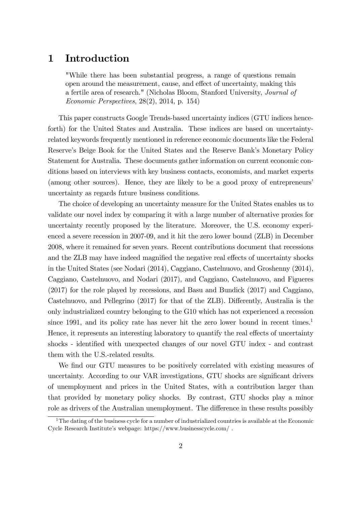#### 1 Introduction

"While there has been substantial progress, a range of questions remain open around the measurement, cause, and effect of uncertainty, making this a fertile area of research." (Nicholas Bloom, Stanford University, Journal of Economic Perspectives, 28(2), 2014, p. 154)

This paper constructs Google Trends-based uncertainty indices (GTU indices henceforth) for the United States and Australia. These indices are based on uncertaintyrelated keywords frequently mentioned in reference economic documents like the Federal Reserve's Beige Book for the United States and the Reserve Bank's Monetary Policy Statement for Australia. These documents gather information on current economic conditions based on interviews with key business contacts, economists, and market experts (among other sources). Hence, they are likely to be a good proxy of entrepreneurs' uncertainty as regards future business conditions.

The choice of developing an uncertainty measure for the United States enables us to validate our novel index by comparing it with a large number of alternative proxies for uncertainty recently proposed by the literature. Moreover, the U.S. economy experienced a severe recession in 2007-09, and it hit the zero lower bound (ZLB) in December 2008, where it remained for seven years. Recent contributions document that recessions and the ZLB may have indeed magnified the negative real effects of uncertainty shocks in the United States (see Nodari (2014), Caggiano, Castelnuovo, and Groshenny (2014), Caggiano, Castelnuovo, and Nodari (2017), and Caggiano, Castelnuovo, and Figueres (2017) for the role played by recessions, and Basu and Bundick (2017) and Caggiano, Castelnuovo, and Pellegrino  $(2017)$  for that of the ZLB). Differently, Australia is the only industrialized country belonging to the G10 which has not experienced a recession since 1991, and its policy rate has never hit the zero lower bound in recent times.<sup>1</sup> Hence, it represents an interesting laboratory to quantify the real effects of uncertainty shocks - identified with unexpected changes of our novel GTU index - and contrast them with the U.S.-related results.

We find our GTU measures to be positively correlated with existing measures of uncertainty. According to our VAR investigations, GTU shocks are significant drivers of unemployment and prices in the United States, with a contribution larger than that provided by monetary policy shocks. By contrast, GTU shocks play a minor role as drivers of the Australian unemployment. The difference in these results possibly

<sup>&</sup>lt;sup>1</sup>The dating of the business cycle for a number of industrialized countries is available at the Economic Cycle Research Instituteís webpage: https://www.businesscycle.com/ .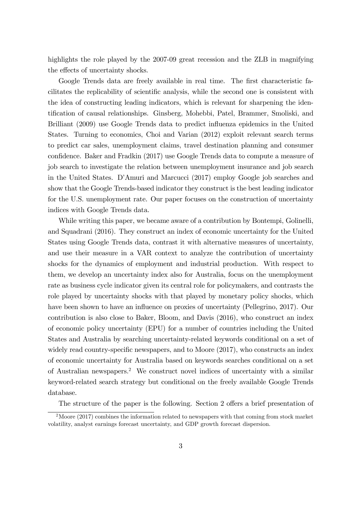highlights the role played by the 2007-09 great recession and the ZLB in magnifying the effects of uncertainty shocks.

Google Trends data are freely available in real time. The first characteristic facilitates the replicability of scientific analysis, while the second one is consistent with the idea of constructing leading indicators, which is relevant for sharpening the identification of causal relationships. Ginsberg, Mohebbi, Patel, Brammer, Smoliski, and Brilliant (2009) use Google Trends data to predict influenza epidemics in the United States. Turning to economics, Choi and Varian (2012) exploit relevant search terms to predict car sales, unemployment claims, travel destination planning and consumer confidence. Baker and Fradkin (2017) use Google Trends data to compute a measure of job search to investigate the relation between unemployment insurance and job search in the United States. D'Amuri and Marcucci (2017) employ Google job searches and show that the Google Trends-based indicator they construct is the best leading indicator for the U.S. unemployment rate. Our paper focuses on the construction of uncertainty indices with Google Trends data.

While writing this paper, we became aware of a contribution by Bontempi, Golinelli, and Squadrani (2016). They construct an index of economic uncertainty for the United States using Google Trends data, contrast it with alternative measures of uncertainty, and use their measure in a VAR context to analyze the contribution of uncertainty shocks for the dynamics of employment and industrial production. With respect to them, we develop an uncertainty index also for Australia, focus on the unemployment rate as business cycle indicator given its central role for policymakers, and contrasts the role played by uncertainty shocks with that played by monetary policy shocks, which have been shown to have an influence on proxies of uncertainty (Pellegrino, 2017). Our contribution is also close to Baker, Bloom, and Davis (2016), who construct an index of economic policy uncertainty (EPU) for a number of countries including the United States and Australia by searching uncertainty-related keywords conditional on a set of widely read country-specific newspapers, and to Moore  $(2017)$ , who constructs an index of economic uncertainty for Australia based on keywords searches conditional on a set of Australian newspapers.<sup>2</sup> We construct novel indices of uncertainty with a similar keyword-related search strategy but conditional on the freely available Google Trends database.

The structure of the paper is the following. Section 2 offers a brief presentation of

 $2^2$ Moore (2017) combines the information related to newspapers with that coming from stock market volatility, analyst earnings forecast uncertainty, and GDP growth forecast dispersion.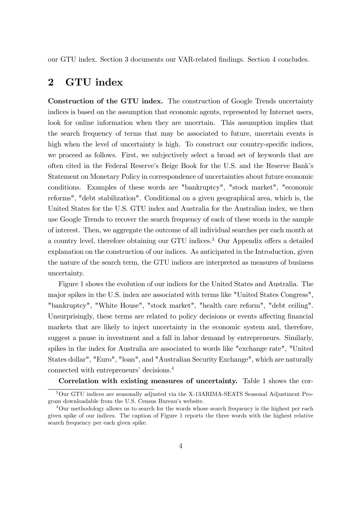our GTU index. Section 3 documents our VAR-related Öndings. Section 4 concludes.

### 2 GTU index

Construction of the GTU index. The construction of Google Trends uncertainty indices is based on the assumption that economic agents, represented by Internet users, look for online information when they are uncertain. This assumption implies that the search frequency of terms that may be associated to future, uncertain events is high when the level of uncertainty is high. To construct our country-specific indices, we proceed as follows. First, we subjectively select a broad set of keywords that are often cited in the Federal Reserveís Beige Book for the U.S. and the Reserve Bankís Statement on Monetary Policy in correspondence of uncertainties about future economic conditions. Examples of these words are "bankruptcy", "stock market", "economic reforms", "debt stabilization". Conditional on a given geographical area, which is, the United States for the U.S. GTU index and Australia for the Australian index, we then use Google Trends to recover the search frequency of each of these words in the sample of interest. Then, we aggregate the outcome of all individual searches per each month at a country level, therefore obtaining our GTU indices.<sup>3</sup> Our Appendix offers a detailed explanation on the construction of our indices. As anticipated in the Introduction, given the nature of the search term, the GTU indices are interpreted as measures of business uncertainty.

Figure 1 shows the evolution of our indices for the United States and Australia. The major spikes in the U.S. index are associated with terms like "United States Congress", "bankruptcy", "White House", "stock market", "health care reform", "debt ceiling". Unsurprisingly, these terms are related to policy decisions or events affecting financial markets that are likely to inject uncertainty in the economic system and, therefore, suggest a pause in investment and a fall in labor demand by entrepreneurs. Similarly, spikes in the index for Australia are associated to words like "exchange rate", "United States dollar", "Euro", "loan", and "Australian Security Exchange", which are naturally connected with entrepreneurs' decisions.<sup>4</sup>

Correlation with existing measures of uncertainty. Table 1 shows the cor-

<sup>3</sup>Our GTU indices are seasonally adjusted via the X-13ARIMA-SEATS Seasonal Adjustment Program downloadable from the U.S. Census Bureauís website.

<sup>&</sup>lt;sup>4</sup>Our methodology allows us to search for the words whose search frequency is the highest per each given spike of our indices. The caption of Figure 1 reports the three words with the highest relative search frequency per each given spike.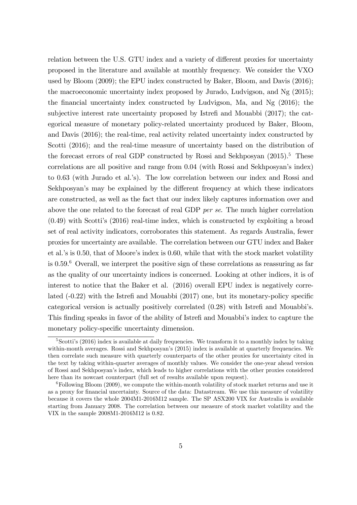relation between the U.S. GTU index and a variety of different proxies for uncertainty proposed in the literature and available at monthly frequency. We consider the VXO used by Bloom (2009); the EPU index constructed by Baker, Bloom, and Davis (2016); the macroeconomic uncertainty index proposed by Jurado, Ludvigson, and Ng (2015); the financial uncertainty index constructed by Ludvigson, Ma, and Ng  $(2016)$ ; the subjective interest rate uncertainty proposed by Istrefi and Mouabbi (2017); the categorical measure of monetary policy-related uncertainty produced by Baker, Bloom, and Davis (2016); the real-time, real activity related uncertainty index constructed by Scotti (2016); and the real-time measure of uncertainty based on the distribution of the forecast errors of real GDP constructed by Rossi and Sekhposyan  $(2015)^5$ . These correlations are all positive and range from 0.04 (with Rossi and Sekhposyan's index) to 0.63 (with Jurado et al.'s). The low correlation between our index and Rossi and Sekhposyan's may be explained by the different frequency at which these indicators are constructed, as well as the fact that our index likely captures information over and above the one related to the forecast of real GDP per se. The much higher correlation  $(0.49)$  with Scotti's  $(2016)$  real-time index, which is constructed by exploiting a broad set of real activity indicators, corroborates this statement. As regards Australia, fewer proxies for uncertainty are available. The correlation between our GTU index and Baker et al.'s is  $0.50$ , that of Moore's index is  $0.60$ , while that with the stock market volatility is  $0.59<sup>6</sup>$  Overall, we interpret the positive sign of these correlations as reassuring as far as the quality of our uncertainty indices is concerned. Looking at other indices, it is of interest to notice that the Baker et al. (2016) overall EPU index is negatively correlated  $(-0.22)$  with the Istrefi and Mouabbi  $(2017)$  one, but its monetary-policy specific categorical version is actually positively correlated  $(0.28)$  with Istrefi and Mouabbi's. This finding speaks in favor of the ability of Istrefi and Mouabbi's index to capture the monetary policy-specific uncertainty dimension.

 $5$ Scotti's (2016) index is available at daily frequencies. We transform it to a monthly index by taking within-month averages. Rossi and Sekhposyan's (2015) index is available at quarterly frequencies. We then correlate such measure with quarterly counterparts of the other proxies for uncertainty cited in the text by taking within-quarter averages of monthly values. We consider the one-year ahead version of Rossi and Sekhposyanís index, which leads to higher correlations with the other proxies considered here than its nowcast counterpart (full set of results available upon request).

 $6$ Following Bloom (2009), we compute the within-month volatility of stock market returns and use it as a proxy for financial uncertainty. Source of the data: Datastream. We use this measure of volatility because it covers the whole 2004M1-2016M12 sample. The SP ASX200 VIX for Australia is available starting from January 2008. The correlation between our measure of stock market volatility and the VIX in the sample 2008M1-2016M12 is 0.82.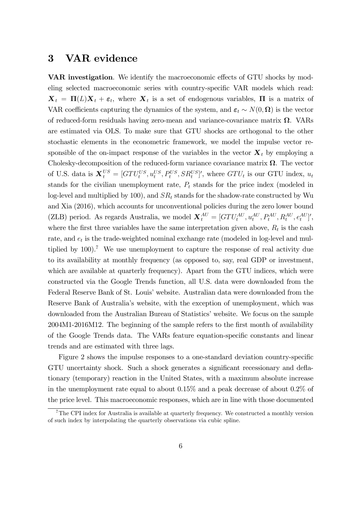#### 3 VAR evidence

VAR investigation. We identify the macroeconomic effects of GTU shocks by modeling selected macroeconomic series with country-specific VAR models which read:  $\mathbf{X}_t = \mathbf{\Pi}(L)\mathbf{X}_t + \boldsymbol{\varepsilon}_t$ , where  $\mathbf{X}_t$  is a set of endogenous variables,  $\Pi$  is a matrix of VAR coefficients capturing the dynamics of the system, and  $\varepsilon_t \sim N(0, \Omega)$  is the vector of reduced-form residuals having zero-mean and variance-covariance matrix  $\Omega$ . VARs are estimated via OLS. To make sure that GTU shocks are orthogonal to the other stochastic elements in the econometric framework, we model the impulse vector responsible of the on-impact response of the variables in the vector  $\mathbf{X}_t$  by employing a Cholesky-decomposition of the reduced-form variance covariance matrix  $\Omega$ . The vector of U.S. data is  $\mathbf{X}_t^{US} = [G T U_t^{US}, u_t^{US}, P_t^{US}, SR_t^{US}]'$ , where  $G T U_t$  is our GTU index,  $u_t$ stands for the civilian unemployment rate,  $P_t$  stands for the price index (modeled in log-level and multiplied by 100), and  $SR<sub>t</sub>$  stands for the shadow-rate constructed by Wu and Xia (2016), which accounts for unconventional policies during the zero lower bound (ZLB) period. As regards Australia, we model  $\mathbf{X}_{t}^{AU} = [GTU_t^{AU}, u_t^{AU}, P_t^{AU}, R_t^{AU}, e_t^{AU}]'$ , where the first three variables have the same interpretation given above,  $R_t$  is the cash rate, and  $e_t$  is the trade-weighted nominal exchange rate (modeled in log-level and multiplied by  $100$ .<sup>7</sup> We use unemployment to capture the response of real activity due to its availability at monthly frequency (as opposed to, say, real GDP or investment, which are available at quarterly frequency). Apart from the GTU indices, which were constructed via the Google Trends function, all U.S. data were downloaded from the Federal Reserve Bank of St. Louis' website. Australian data were downloaded from the Reserve Bank of Australia's website, with the exception of unemployment, which was downloaded from the Australian Bureau of Statistics' website. We focus on the sample 2004M1-2016M12. The beginning of the sample refers to the first month of availability of the Google Trends data. The VARs feature equation-specific constants and linear trends and are estimated with three lags.

Figure 2 shows the impulse responses to a one-standard deviation country-specific GTU uncertainty shock. Such a shock generates a significant recessionary and deflationary (temporary) reaction in the United States, with a maximum absolute increase in the unemployment rate equal to about 0.15% and a peak decrease of about 0.2% of the price level. This macroeconomic responses, which are in line with those documented

<sup>&</sup>lt;sup>7</sup>The CPI index for Australia is available at quarterly frequency. We constructed a monthly version of such index by interpolating the quarterly observations via cubic spline.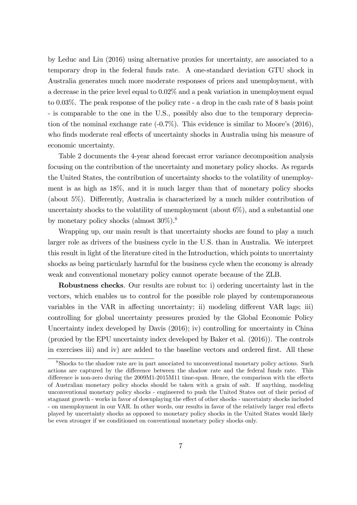by Leduc and Liu (2016) using alternative proxies for uncertainty, are associated to a temporary drop in the federal funds rate. A one-standard deviation GTU shock in Australia generates much more moderate responses of prices and unemployment, with a decrease in the price level equal to 0.02% and a peak variation in unemployment equal to 0.03%. The peak response of the policy rate - a drop in the cash rate of 8 basis point - is comparable to the one in the U.S., possibly also due to the temporary depreciation of the nominal exchange rate  $(-0.7\%)$ . This evidence is similar to Moore's  $(2016)$ , who finds moderate real effects of uncertainty shocks in Australia using his measure of economic uncertainty.

Table 2 documents the 4-year ahead forecast error variance decomposition analysis focusing on the contribution of the uncertainty and monetary policy shocks. As regards the United States, the contribution of uncertainty shocks to the volatility of unemployment is as high as 18%, and it is much larger than that of monetary policy shocks (about  $5\%$ ). Differently, Australia is characterized by a much milder contribution of uncertainty shocks to the volatility of unemployment (about 6%), and a substantial one by monetary policy shocks (almost 30%).<sup>8</sup>

Wrapping up, our main result is that uncertainty shocks are found to play a much larger role as drivers of the business cycle in the U.S. than in Australia. We interpret this result in light of the literature cited in the Introduction, which points to uncertainty shocks as being particularly harmful for the business cycle when the economy is already weak and conventional monetary policy cannot operate because of the ZLB.

Robustness checks. Our results are robust to: i) ordering uncertainty last in the vectors, which enables us to control for the possible role played by contemporaneous variables in the VAR in affecting uncertainty; ii) modeling different VAR lags; iii) controlling for global uncertainty pressures proxied by the Global Economic Policy Uncertainty index developed by Davis (2016); iv) controlling for uncertainty in China (proxied by the EPU uncertainty index developed by Baker et al. (2016)). The controls in exercises iii) and iv) are added to the baseline vectors and ordered first. All these

<sup>8</sup>Shocks to the shadow rate are in part associated to unconventional monetary policy actions. Such actions are captured by the difference between the shadow rate and the federal funds rate. This difference is non-zero during the  $2009M1-2015M11$  time-span. Hence, the comparison with the effects of Australian monetary policy shocks should be taken with a grain of salt. If anything, modeling unconventional monetary policy shocks - engineered to push the United States out of their period of stagnant growth - works in favor of downplaying the effect of other shocks - uncertainty shocks included - on unemployment in our VAR. In other words, our results in favor of the relatively larger real effects played by uncertainty shocks as opposed to monetary policy shocks in the United States would likely be even stronger if we conditioned on conventional monetary policy shocks only.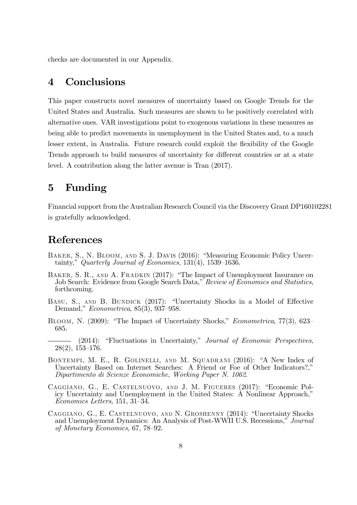checks are documented in our Appendix.

## 4 Conclusions

This paper constructs novel measures of uncertainty based on Google Trends for the United States and Australia. Such measures are shown to be positively correlated with alternative ones. VAR investigations point to exogenous variations in these measures as being able to predict movements in unemployment in the United States and, to a much lesser extent, in Australia. Future research could exploit the flexibility of the Google Trends approach to build measures of uncertainty for different countries or at a state level. A contribution along the latter avenue is Tran (2017).

## 5 Funding

Financial support from the Australian Research Council via the Discovery Grant DP160102281 is gratefully acknowledged.

#### References

- BAKER, S., N. BLOOM, AND S. J. DAVIS (2016): "Measuring Economic Policy Uncertainty," Quarterly Journal of Economics,  $131(4)$ ,  $1539-1636$ .
- BAKER, S. R., AND A. FRADKIN (2017): "The Impact of Unemployment Insurance on Job Search: Evidence from Google Search Data," Review of Economics and Statistics, forthcoming.
- BASU, S., AND B. BUNDICK (2017): "Uncertainty Shocks in a Model of Effective Demand,"  $Econometrica$ , 85(3), 937-958.
- BLOOM, N. (2009): "The Impact of Uncertainty Shocks," *Econometrica*, 77(3), 623– 685.
- $(2014)$ : "Fluctuations in Uncertainty," Journal of Economic Perspectives,  $28(2)$ , 153-176.
- BONTEMPI, M. E., R. GOLINELLI, AND M. SQUADRANI (2016): "A New Index of Uncertainty Based on Internet Searches: A Friend or Foe of Other Indicators?," Dipartimento di Scienze Economiche, Working Paper N. 1062.
- CAGGIANO, G., E. CASTELNUOVO, AND J. M. FIGUERES (2017): "Economic Policy Uncertainty and Unemployment in the United States: A Nonlinear Approach,<sup>n</sup>  $Economics$  Letters, 151, 31-34.
- CAGGIANO, G., E. CASTELNUOVO, AND N. GROSHENNY (2014): "Uncertainty Shocks and Unemployment Dynamics: An Analysis of Post-WWII U.S. Recessions," Journal of Monetary Economics,  $67, 78-92$ .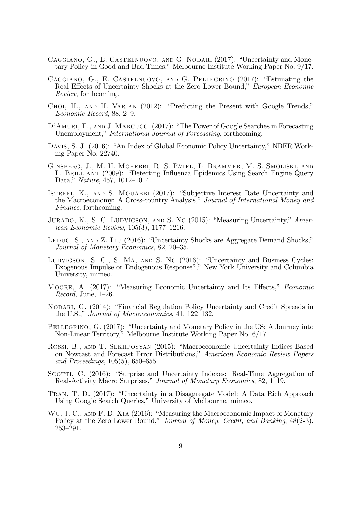- CAGGIANO, G., E. CASTELNUOVO, AND G. NODARI (2017): "Uncertainty and Monetary Policy in Good and Bad Times," Melbourne Institute Working Paper No. 9/17.
- CAGGIANO, G., E. CASTELNUOVO, AND G. PELLEGRINO  $(2017)$ : "Estimating the Real Effects of Uncertainty Shocks at the Zero Lower Bound," European Economic Review, forthcoming.
- CHOI, H., AND H. VARIAN (2012): "Predicting the Present with Google Trends,"  $Economic Record, 88, 2-9.$
- D'AMURI, F., AND J. MARCUCCI (2017): "The Power of Google Searches in Forecasting Unemployment," *International Journal of Forecasting*, forthcoming.
- DAVIS, S. J. (2016): "An Index of Global Economic Policy Uncertainty," NBER Working Paper No. 22740.
- Ginsberg, J., M. H. Mohebbi, R. S. Patel, L. Brammer, M. S. Smoliski, and L. BRILLIANT (2009): "Detecting Influenza Epidemics Using Search Engine Query Data," Nature,  $\frac{157}{1012} - \frac{1014}{1014}$ .
- ISTREFI, K., AND S. MOUABBI (2017): "Subjective Interest Rate Uncertainty and the Macroeconomy: A Cross-country Analysis," Journal of International Money and Finance, forthcoming.
- JURADO, K., S. C. LUDVIGSON, AND S. NG  $(2015)$ : "Measuring Uncertainty," Amer*ican Economic Review*,  $105(3)$ ,  $1177-1216$ .
- LEDUC, S., AND Z. LIU (2016): "Uncertainty Shocks are Aggregate Demand Shocks," Journal of Monetary Economics, 82, 20–35.
- LUDVIGSON, S. C., S. MA, AND S. NG (2016): "Uncertainty and Business Cycles: Exogenous Impulse or Endogenous Response?,<sup>n</sup> New York University and Columbia University, mimeo.
- MOORE, A. (2017): "Measuring Economic Uncertainty and Its Effects," *Economic* Record, June,  $1-26$ .
- NODARI, G. (2014): "Financial Regulation Policy Uncertainty and Credit Spreads in the U.S.," Journal of Macroeconomics, 41, 122–132.
- PELLEGRINO, G. (2017): "Uncertainty and Monetary Policy in the US: A Journey into Non-Linear Territory,î Melbourne Institute Working Paper No. 6/17.
- ROSSI, B., AND T. SEKHPOSYAN (2015): "Macroeconomic Uncertainty Indices Based on Nowcast and Forecast Error Distributions," American Economic Review Papers and Proceedings,  $105(5)$ ,  $650-655$ .
- SCOTTI, C. (2016): "Surprise and Uncertainty Indexes: Real-Time Aggregation of Real-Activity Macro Surprises," Journal of Monetary Economics, 82, 1–19.
- TRAN, T. D. (2017): "Uncertainty in a Disaggregate Model: A Data Rich Approach Using Google Search Queries," University of Melbourne, mimeo.
- WU, J. C., AND F. D. XIA (2016): "Measuring the Macroeconomic Impact of Monetary Policy at the Zero Lower Bound," Journal of Money, Credit, and Banking, 48(2-3),  $253 - 291.$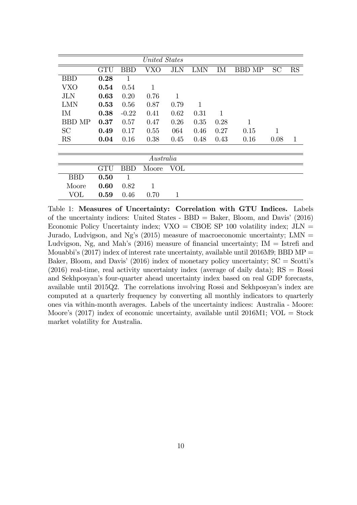|               | United States |              |              |            |            |      |               |           |               |
|---------------|---------------|--------------|--------------|------------|------------|------|---------------|-----------|---------------|
|               | <b>GTU</b>    | <b>BBD</b>   | <b>VXO</b>   | <b>JLN</b> | <b>LMN</b> | IM   | <b>BBD MP</b> | <b>SC</b> | $\mathbf{RS}$ |
| <b>BBD</b>    | 0.28          | $\mathbf{1}$ |              |            |            |      |               |           |               |
| <b>VXO</b>    | 0.54          | 0.54         | $\mathbf{1}$ |            |            |      |               |           |               |
| <b>JLN</b>    | 0.63          | 0.20         | 0.76         | 1          |            |      |               |           |               |
| <b>LMN</b>    | 0.53          | 0.56         | 0.87         | 0.79       | 1          |      |               |           |               |
| IM            | 0.38          | $-0.22$      | 0.41         | 0.62       | 0.31       | 1    |               |           |               |
| <b>BBD MP</b> | 0.37          | 0.57         | 0.47         | 0.26       | 0.35       | 0.28 | $\mathbf 1$   |           |               |
| <b>SC</b>     | 0.49          | 0.17         | 0.55         | 064        | 0.46       | 0.27 | 0.15          | 1         |               |
| RS            | 0.04          | 0.16         | 0.38         | 0.45       | 0.48       | 0.43 | 0.16          | 0.08      | $\mathbf{1}$  |
|               |               |              |              |            |            |      |               |           |               |
|               | Australia     |              |              |            |            |      |               |           |               |
|               | <b>GTU</b>    | BBD          | Moore        | <b>VOL</b> |            |      |               |           |               |
| <b>BBD</b>    | 0.50          | 1            |              |            |            |      |               |           |               |
| Moore         | 0.60          | 0.82         | $\mathbf{1}$ |            |            |      |               |           |               |
| <b>VOL</b>    | 0.59          | 0.46         | 0.70         | 1          |            |      |               |           |               |

Table 1: Measures of Uncertainty: Correlation with GTU Indices. Labels of the uncertainty indices: United States -  $BBD =$  Baker, Bloom, and Davis' (2016) Economic Policy Uncertainty index;  $VXO = CBOE SP 100$  volatility index;  $JLN =$ Jurado, Ludvigson, and Ng's (2015) measure of macroeconomic uncertainty; LMN  $=$ Ludvigson, Ng, and Mah's  $(2016)$  measure of financial uncertainty; IM = Istrefi and Mouabbi's (2017) index of interest rate uncertainty, available until 2016M9; BBD MP  $=$ Baker, Bloom, and Davis' (2016) index of monetary policy uncertainty;  $SC = Scotti's$  $(2016)$  real-time, real activity uncertainty index (average of daily data); RS = Rossi and Sekhposyan's four-quarter ahead uncertainty index based on real GDP forecasts, available until 2015Q2. The correlations involving Rossi and Sekhposyan's index are computed at a quarterly frequency by converting all monthly indicators to quarterly ones via within-month averages. Labels of the uncertainty indices: Australia - Moore: Moore's  $(2017)$  index of economic uncertainty, available until  $2016M1$ ; VOL = Stock market volatility for Australia.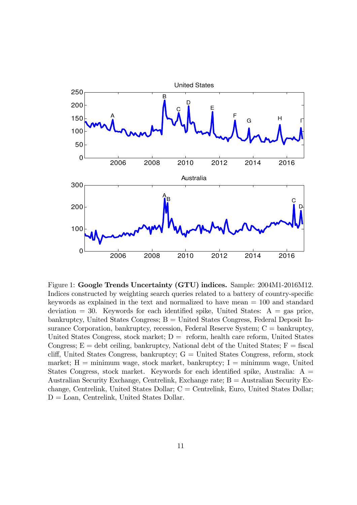

Figure 1: Google Trends Uncertainty (GTU) indices. Sample: 2004M1-2016M12. Indices constructed by weighting search queries related to a battery of country-specific keywords as explained in the text and normalized to have mean = 100 and standard deviation = 30. Keywords for each identified spike, United States:  $A = gas$  price, bankruptcy, United States Congress; B = United States Congress, Federal Deposit Insurance Corporation, bankruptcy, recession, Federal Reserve System; C = bankruptcy, United States Congress, stock market;  $D =$  reform, health care reform, United States Congress;  $E =$  debt ceiling, bankruptcy, National debt of the United States;  $F =$  fiscal cliff, United States Congress, bankruptcy;  $G =$  United States Congress, reform, stock market;  $H =$  minimum wage, stock market, bankruptcy;  $I =$  minimum wage, United States Congress, stock market. Keywords for each identified spike, Australia:  $A =$ Australian Security Exchange, Centrelink, Exchange rate; B = Australian Security Exchange, Centrelink, United States Dollar; C = Centrelink, Euro, United States Dollar;  $D =$  Loan, Centrelink, United States Dollar.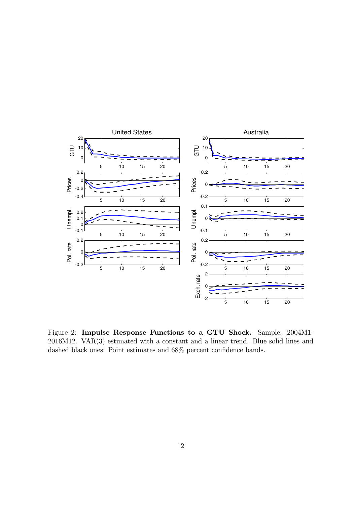

Figure 2: Impulse Response Functions to a GTU Shock. Sample: 2004M1- 2016M12. VAR(3) estimated with a constant and a linear trend. Blue solid lines and dashed black ones: Point estimates and  $68\%$  percent confidence bands.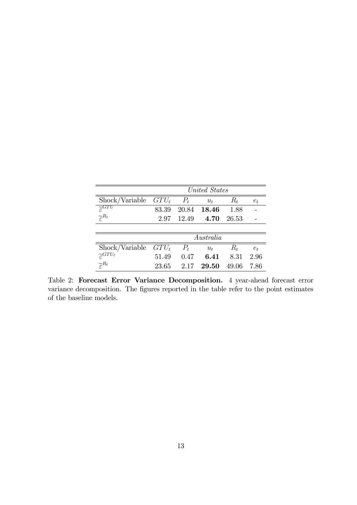|                                            | United States |       |             |       |       |
|--------------------------------------------|---------------|-------|-------------|-------|-------|
| Shock/Variable $G T U_t$                   |               | $P_t$ | $u_t$       | $R_t$ | $e_t$ |
| $\overline{\widetilde{\varepsilon}^{GTU}}$ | 83.39         |       | 20.84 18.46 | 1.88  |       |
| $\widetilde{\varepsilon}^{R_t}$            | 2.97          | 12.49 | 4.70        | 26.53 |       |
|                                            |               |       |             |       |       |
|                                            | Australia     |       |             |       |       |
| Shock/Variable                             | $G T U_t$     | $P_t$ | $u_{t}$     | $R_t$ | $e_t$ |
| $\widetilde{\varepsilon}^{GTU_{t}}$        | 51.49         | 0.47  | 6.41        | 8.31  | 2.96  |
| $\widetilde{\varepsilon}^{R_t}$            | 23.65         | 2.17  | 29.50       | 49.06 | 7.86  |

Table 2: Forecast Error Variance Decomposition. 4 year-ahead forecast error variance decomposition. The figures reported in the table refer to the point estimates of the baseline models.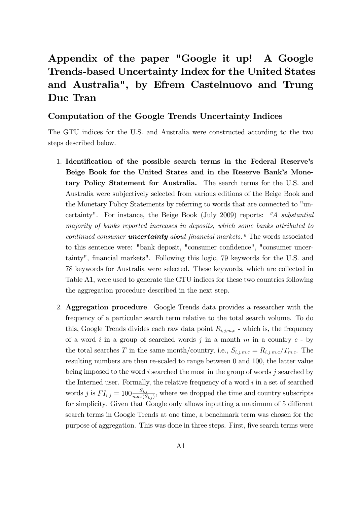## Appendix of the paper "Google it up! A Google Trends-based Uncertainty Index for the United States and Australia", by Efrem Castelnuovo and Trung Duc Tran

#### Computation of the Google Trends Uncertainty Indices

The GTU indices for the U.S. and Australia were constructed according to the two steps described below.

- 1. Identification of the possible search terms in the Federal Reserve's Beige Book for the United States and in the Reserve Bank's Monetary <sup>P</sup>olicy Statement for Australia. The search terms for the U.S. and Australia were subjectively selected from various editions of the Beige Book and the Monetary Policy Statements by referring to words that are connected to "uncertainty". For instance, the Beige Book (July 2009) reports: "A substantial majority of banks reported increases in deposits, which some banks attributed to continued consumer **uncertainty** about financial markets. " The words associated to this sentence were: "bank deposit, "consumer confidence", "consumer uncertainty", financial markets". Following this logic, 79 keywords for the U.S. and 78 keywords for Australia were selected. These keywords, which are collected in Table A1, were used to generate the GTU indices for these two countries following the aggregation procedure described in the next step.
- 2. Aggregation procedure. Google Trends data provides a researcher with the frequency of a particular search term relative to the total search volume. To do this, Google Trends divides each raw data point  $R_{i,j,m,c}$  - which is, the frequency of a word  $i$  in a group of searched words  $j$  in a month  $m$  in a country  $c$  - by the total searches T in the same month/country, i.e.,  $S_{i,j,m,c} = R_{i,j,m,c}/T_{m,c}$ . The resulting numbers are then re-scaled to range between 0 and 100, the latter value being imposed to the word  $i$  searched the most in the group of words  $j$  searched by the Interned user. Formally, the relative frequency of a word  $i$  in a set of searched words j is  $FI_{i,j} = 100 \frac{S_{i,j}}{max(S_{i,j})}$ , where we dropped the time and country subscripts for simplicity. Given that Google only allows inputting a maximum of 5 different search terms in Google Trends at one time, a benchmark term was chosen for the purpose of aggregation. This was done in three steps. First, Öve search terms were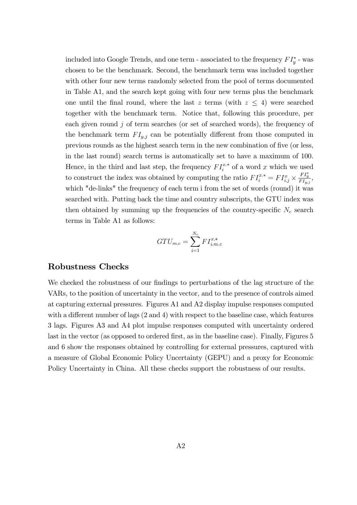included into Google Trends, and one term - associated to the frequency  $FI_v^*$  - was chosen to be the benchmark. Second, the benchmark term was included together with other four new terms randomly selected from the pool of terms documented in Table A1, and the search kept going with four new terms plus the benchmark one until the final round, where the last z terms (with  $z \leq 4$ ) were searched together with the benchmark term. Notice that, following this procedure, per each given round  $\dot{\jmath}$  of term searches (or set of searched words), the frequency of the benchmark term  $FI_{y,j}$  can be potentially different from those computed in previous rounds as the highest search term in the new combination of Öve (or less, in the last round) search terms is automatically set to have a maximum of 100. Hence, in the third and last step, the frequency  $FI_i^{x,*}$  of a word  $x_i^{x,*}$  of a word x which we used to construct the index was obtained by computing the ratio  $FI_i^{x,*} = FI_{i,j}^x$  $\epsilon_i^{x,*} = FI_{i,j}^x \times \frac{FI_y^*}{FI_{i,j}}$  $\frac{T_{y}}{F I_{y,j}}$ , which "de-links" the frequency of each term i from the set of words (round) it was searched with. Putting back the time and country subscripts, the GTU index was then obtained by summing up the frequencies of the country-specific  $N_c$  search terms in Table A1 as follows:

$$
G T U_{m,c} = \sum_{i=1}^{N_c} F I_{i,m,c}^{x,*}
$$

#### Robustness Checks

We checked the robustness of our findings to perturbations of the lag structure of the VARs, to the position of uncertainty in the vector, and to the presence of controls aimed at capturing external pressures. Figures A1 and A2 display impulse responses computed with a different number of lags  $(2 \text{ and } 4)$  with respect to the baseline case, which features 3 lags. Figures A3 and A4 plot impulse responses computed with uncertainty ordered last in the vector (as opposed to ordered first, as in the baseline case). Finally, Figures 5 and 6 show the responses obtained by controlling for external pressures, captured with a measure of Global Economic Policy Uncertainty (GEPU) and a proxy for Economic Policy Uncertainty in China. All these checks support the robustness of our results.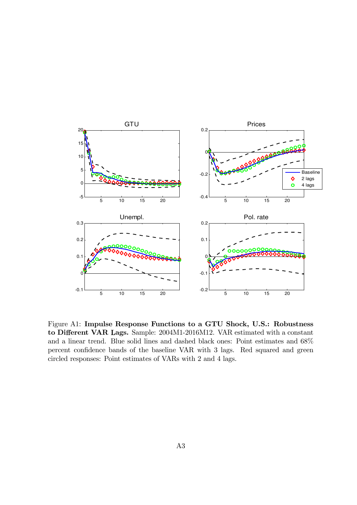

Figure A1: Impulse Response Functions to a GTU Shock, U.S.: Robustness to Different VAR Lags. Sample: 2004M1-2016M12. VAR estimated with a constant and a linear trend. Blue solid lines and dashed black ones: Point estimates and 68% percent confidence bands of the baseline VAR with 3 lags. Red squared and green circled responses: Point estimates of VARs with 2 and 4 lags.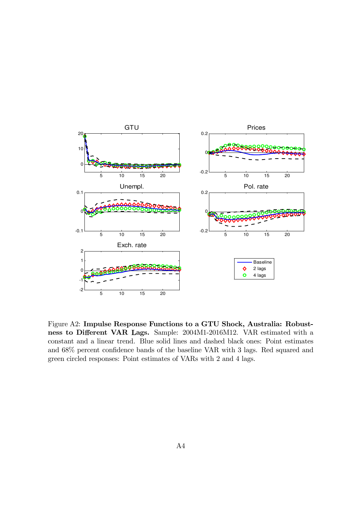

Figure A2: Impulse Response Functions to a GTU Shock, Australia: Robustness to Different VAR Lags. Sample: 2004M1-2016M12. VAR estimated with a constant and a linear trend. Blue solid lines and dashed black ones: Point estimates and  $68\%$  percent confidence bands of the baseline VAR with 3 lags. Red squared and green circled responses: Point estimates of VARs with 2 and 4 lags.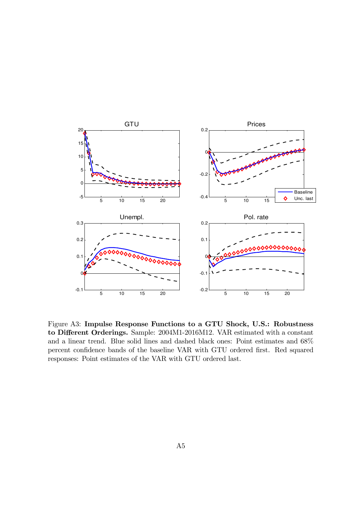

Figure A3: Impulse Response Functions to a GTU Shock, U.S.: Robustness to Different Orderings. Sample: 2004M1-2016M12. VAR estimated with a constant and a linear trend. Blue solid lines and dashed black ones: Point estimates and 68% percent confidence bands of the baseline VAR with GTU ordered first. Red squared responses: Point estimates of the VAR with GTU ordered last.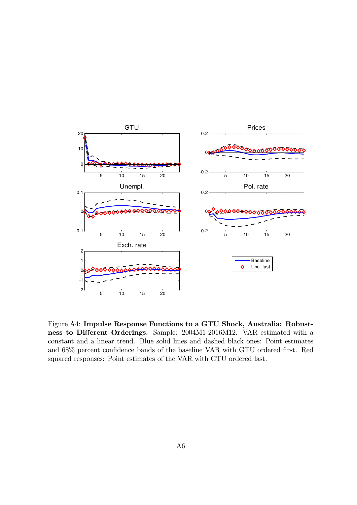

Figure A4: Impulse Response Functions to a GTU Shock, Australia: Robustness to Different Orderings. Sample: 2004M1-2016M12. VAR estimated with a constant and a linear trend. Blue solid lines and dashed black ones: Point estimates and  $68\%$  percent confidence bands of the baseline VAR with GTU ordered first. Red squared responses: Point estimates of the VAR with GTU ordered last.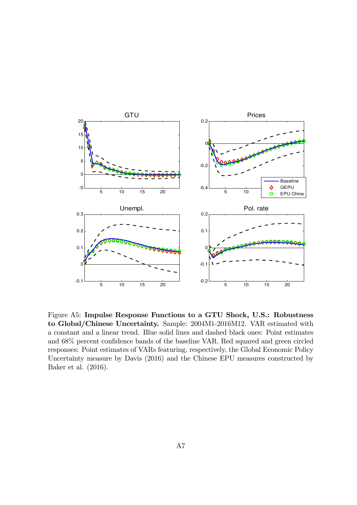

Figure A5: Impulse Response Functions to a GTU Shock, U.S.: Robustness to Global/Chinese Uncertainty. Sample: 2004M1-2016M12. VAR estimated with a constant and a linear trend. Blue solid lines and dashed black ones: Point estimates and  $68\%$  percent confidence bands of the baseline VAR. Red squared and green circled responses: Point estimates of VARs featuring, respectively, the Global Economic Policy Uncertainty measure by Davis (2016) and the Chinese EPU measures constructed by Baker et al. (2016).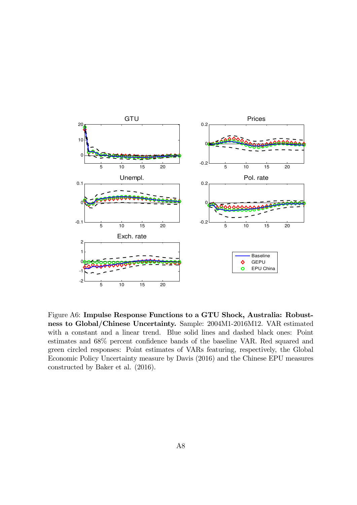

Figure A6: Impulse Response Functions to a GTU Shock, Australia: Robustness to Global/Chinese Uncertainty. Sample: 2004M1-2016M12. VAR estimated with a constant and a linear trend. Blue solid lines and dashed black ones: Point estimates and  $68\%$  percent confidence bands of the baseline VAR. Red squared and green circled responses: Point estimates of VARs featuring, respectively, the Global Economic Policy Uncertainty measure by Davis (2016) and the Chinese EPU measures constructed by Baker et al. (2016).